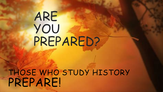# ARE YOU PREPARED?

THOSE WHO STUDY HISTORY PREPARE!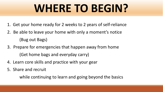# **WHERE TO BEGIN?**

- 1. Get your home ready for 2 weeks to 2 years of self-reliance
- 2. Be able to leave your home with only a moment's notice (Bug out Bags)
- 3. Prepare for emergencies that happen away from home (Get home bags and everyday carry)
- 4. Learn core skills and practice with your gear
- 5. Share and recruit

while continuing to learn and going beyond the basics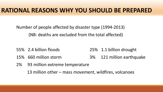Number of people affected by disaster type (1994-2013) (NB: deaths are excluded from the total affected)

- 55% 2.4 billion floods 25% 1.1 billion drought
- 15% 660 million storm 3% 121 million earthquake
- 2% 93 million extreme temperature

13 million other – mass movement, wildfires, volcanoes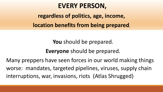#### **EVERY PERSON,**

**regardless of politics, age, income, location benefits from being prepared,** 

> **You** should be prepared. **Everyone** should be prepared.

Many preppers have seen forces in our world making things worse: mandates, targeted pipelines, viruses, supply chain interruptions, war, invasions, riots (Atlas Shrugged)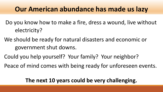#### **Our American abundance has made us lazy**

- Do you know how to make a fire, dress a wound, live without electricity?
- We should be ready for natural disasters and economic or government shut downs.
- Could you help yourself? Your family? Your neighbor?
- Peace of mind comes with being ready for unforeseen events.

#### **The next 10 years could be very challenging.**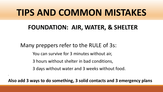# **TIPS AND COMMON MISTAKES**

#### **FOUNDATION: AIR, WATER, & SHELTER**

Many preppers refer to the RULE of 3s:

,

You can survive for 3 minutes without air,

3 hours without shelter in bad conditions,

3 days without water and 3 weeks without food.

**Also add 3 ways to do something, 3 solid contacts and 3 emergency plans**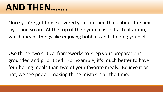## **AND THEN…….**

Once you're got those covered you can then think about the next layer and so on. At the top of the pyramid is self-actualization, which means things like enjoying hobbies and "finding yourself."

Use these two critical frameworks to keep your preparations grounded and prioritized. For example, it's much better to have four boring meals than two of your favorite meals. Believe it or not, we see people making these mistakes all the time.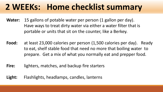### **2 WEEKs: Home checklist summary**

- **Water:** 15 gallons of potable water per person (1 gallon per day). Have ways to treat dirty water via either a water filter that is portable or units that sit on the counter, like a Berkey.
- **Food:** at least 23,000 calories per person (1,500 calories per day). Ready to eat, shelf stable food that need no more that boiling water to prepare. Get a mix of what you normally eat and prepper food.
- **Fire:** lighters, matches, and backup fire starters
- **Light:** Flashlights, headlamps, candles, lanterns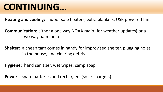## **CONTINUING…**

**Heating and cooling:** indoor safe heaters, extra blankets, USB powered fan

**Communication:** either a one way NOAA radio (for weather updates) or a two way ham radio

**Shelter**: a cheap tarp comes in handy for improvised shelter, plugging holes in the house, and clearing debris

**Hygiene:** hand sanitizer, wet wipes, camp soap

**Power:** spare batteries and rechargers (solar chargers)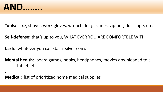

.

**Tools:** axe, shovel, work gloves, wrench, for gas lines, zip ties, duct tape, etc.

**Self-defense:** that's up to you, WHAT EVER YOU ARE COMFORTBLE WITH

**Cash:** whatever you can stash silver coins

**Mental health:** board games, books, headphones, movies downloaded to a tablet, etc.

**Medical:** list of prioritized home medical supplies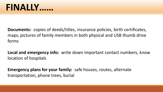**Documents:** copies of deeds/titles, insurance policies, birth certificates, maps, pictures of family members in both physical and USB thumb drive forms

**Local and emergency info:** write down important contact numbers, know location of hospitals

**Emergency plans for your family:** safe houses, routes, alternate transportation, phone trees, burial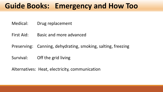#### **Guide Books: Emergency and How Too**

- Medical: Drug replacement
- First Aid: Basic and more advanced
- Preserving: Canning, dehydrating, smoking, salting, freezing
- Survival: Off the grid living

Alternatives: Heat, electricity, communication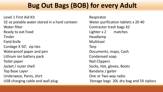#### **Bug Out Bags (BOB) for every Adult**

Level 1 First Aid Kit **Respirator** Respirator 32 oz potable water stored in a hard canteen Water purification tablets x 20 40 Water filter **Contractor trash bags** X2 Ready to eat Food **Example 2** and Lighter x 2 and matches Tinder **Headlamp** Field Knife Multitool Cordage X 50', zip ties Tarp Waterproof paper and pen Documents, maps, Cash Lithium ion battery pack Lithium ion battery pack Toilet paper and the set of the set of the Nail Clippers Jacket / outer shell Socks, Hat, gloves, Boots Top Base Layer and the settlement of the Bandana / gaiter Underwear, Pants, shirt Christian Cone or Two way radio USB charging cable and wall plug USB Storage bags 20L dry bag and 5X ziplocs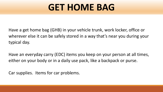# **GET HOME BAG**

Have a get home bag (GHB) in your vehicle trunk, work locker, office or wherever else it can be safely stored in a way that's near you during your typical day.

Have an everyday carry (EDC) items you keep on your person at all times, either on your body or in a daily use pack, like a backpack or purse.

Car supplies. Items for car problems.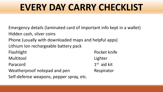# **EVERY DAY CARRY CHECKLIST**

Emergency details (laminated card of important info kept in a wallet) Hidden cash, silver coins Phone (usually with downloaded maps and helpful apps) Lithium Ion rechargeable battery pack Flashlight Pocket knife Multitool Lighter Paracord 1st aid kit Weatherproof notepad and pen Respirator Self-defense weapons, pepper spray, etc.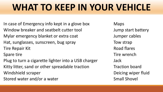# **WHAT TO KEEP IN YOUR VEHICLE**

In case of Emergency info kept in a glove box Maps Window breaker and seatbelt cutter tool Tump start battery Mylar emergency blanket or extra coat Mylar emergency blanket or extra coat Hat, sunglasses, sunscreen, bug spray Tow strap Tire Repair Kit **Road flares** Spare tire Tire wrench

Plug to turn a cigarette lighter into a USB charger Jack Kitty litter, sand or other spreadable traction Traction board Windshield scraper **Deicing wiper fluid** Stored water and/or a water Stored water Small Shovel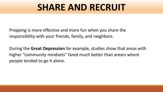# **SHARE AND RECRUIT**

Prepping is more effective and more fun when you share the responsibility with your friends, family, and neighbors.

During the **Great Depression** for example, studies show that areas with higher "community mindsets" fared much better than arears where people tended to go it alone.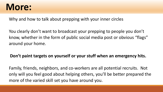### **More:**

Why and how to talk about prepping with your inner circles

You clearly don't want to broadcast your prepping to people you don't know, whether in the form of public social media post or obvious "flags" around your home.

#### **Don't paint targets on yourself or your stuff when an emergency hits.**

Family, friends, neighbors, and co-workers are all potential recruits. Not only will you feel good about helping others, you'll be better prepared the more of the varied skill set you have around you.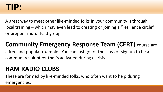### **TIP:**

A great way to meet other like-minded folks in your community is through local training – which may even lead to creating or joining a "resilience circle" or prepper mutual-aid group.

#### **Community Emergency Response Team (CERT)** course are

a free and popular example. You can just go for the class or sign up to be a community volunteer that's activated during a crisis.

#### **HAM RADIO CLUBS**

These are formed by like-minded folks, who often want to help during emergencies.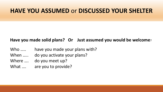#### **HAVE YOU ASSUMED** or **DISCUSSED YOUR SHELTER**

#### **Have you made solid plans? Or Just assumed you would be welcome**?

- Who ..... have you made your plans with?
- When ..... do you activate your plans?
- Where …. do you meet up?
- What .... are you to provide?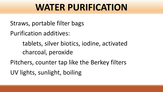# **WATER PURIFICATION**

Straws, portable filter bags

Purification additives:

tablets, silver biotics, iodine, activated charcoal, peroxide

Pitchers, counter tap like the Berkey filters UV lights, sunlight, boiling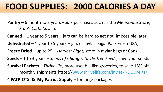### **FOOD SUPPLIES: 2000 CALORIES A DAY**

**Pantry** – 6 month to 2 years –bulk purchases such as the *Mennonite Store*, *Sam's Club, Costco*.

**Canned** – 1 year to 5 years – jars can be hard to get not, impossible later

**Dehydrated** – 1 year to 5 years – jars or mylar bags (Pack Fresh USA)

**Freeze Dried** – up to 25 – *Harvest Right*, store in mylar bags or Cans

**Seeds** – 1 to 3 years – *Seeds of Change*, *Turtle Tree Seeds*, save your seeds

**Survival Packets** – *Thrive life*, more useable like groceries, to save 15% off monthly shipments https://[www.thrivelife.com/invite/NDQ0Mjgz/](http://www.thrivelife.com/invite/NDQ0Mjgz/)

**4 PATRIOTS & My Patriot Supply** – for large packages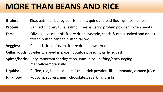### **MORE THAN BEANS AND RICE**

- **Grains:** Rice, oatmeal, barley pearls, millet, quinoa, bread flour, granola, cereals
- **Protein:** Canned chicken, tuna, salmon, beans, jerky, protein powder, frozen meats
- **Fats:** Olive oil, coconut oil, freeze dried avocado, seeds & nuts (soaked and dried) frozen butter, canned butter, tallow
- **Veggies:** Canned, dried, frozen, freeze dried, powdered
- **Cellar Foods:** Apples wrapped in paper, potatoes, onions, garlic squash
- **Spices/herbs:** Very important for digestion, immunity, uplifting/encouraging mentally/emotionally
- **Liquids:** Coffee, tea, hot chocolate, juice, drink powders like lemonade, canned juice
- **Junk food:** Popcorn, suckers, gum, chocolates, sparkling drinks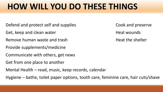### **HOW WILL YOU DO THESE THINGS**

- Defend and protect self and supplies Cook and preserve
- Get, keep and clean water **Easing Sect.** Heal wounds
- Remove human waste and trash **Easing Contract and trash heat the shelter**
- Provide supplements/medicine
- Communicate with others, get news
- Get from one place to another
- Mental Health read, music, keep records, calendar
- Hygiene bathe, toilet paper options, tooth care, feminine care, hair cuts/shave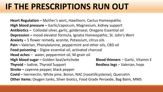### **IF THE PRESCRIPTIONS RUN OUT**

**Heart Regulation –** Mother's wort**,** Hawthorn, Cactus Homeopathic **High blood pressure –** Garlic/capsicum, Magnesium, kidney support **Antibiotics –** Colloidal silver, garlic, goldenseal, Oregano Essential oil **Depression –** mood elevator formula, Ignatia Homeopathic, St. John's Wort **Anxiety –** 5 flower remedy, aconite, Potassium, citrus oils **Pain –** Valerian, Phenylalanine, peppermint and other oils, CBD oil **Food poisoning** – Digize essential oil, activated charcoal **Head aches** – water, peppermint oil, M-grain oil **High blood sugar –** Golden Seal/artichoke **Blood thinners** – Garlic, Vitamin E **Thyroid** – Iodine, Thyroid Support **Restless legs** – Valerian, hops **Stroke –** cayenne pepper, black pepper **Covid –** Ivermectin, White pine, Boron, NAC (nacetillcysteine), Quercetin **Other items:** Oxygen tanks, Silver biotics, Food Grade Peroxide, Bag Balm, MMS